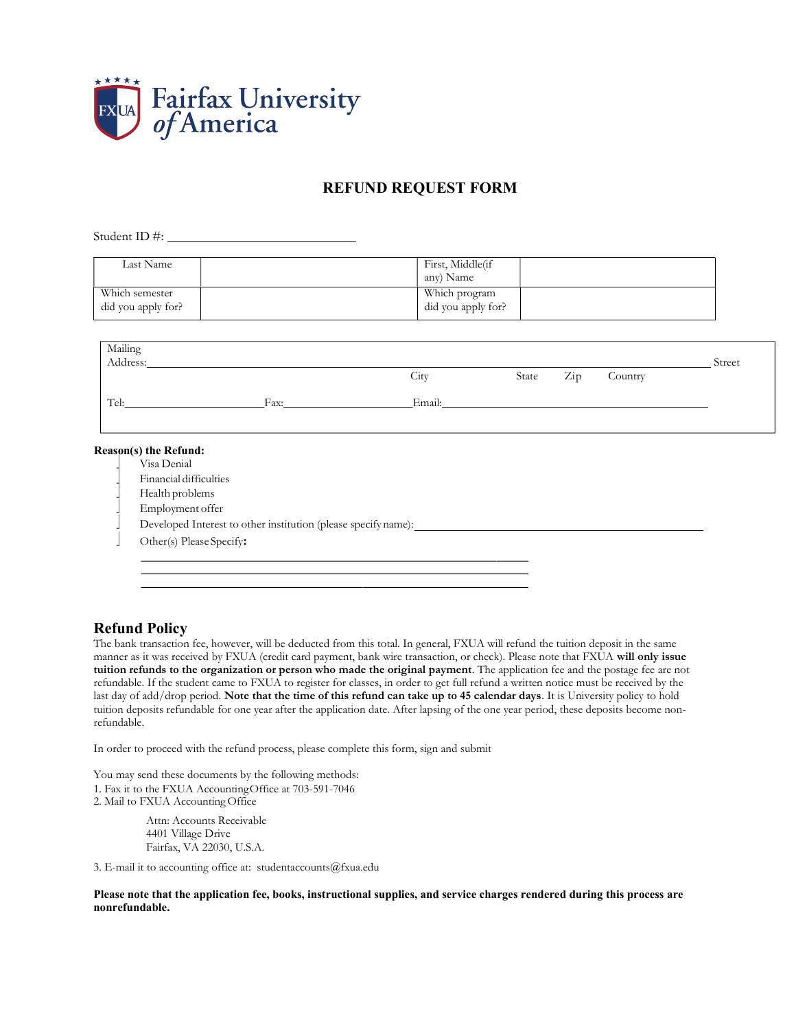

## REFUND REQUEST FORM

Student ID #:  $\_\_\_\_\_\_\_\_\_\_\_\_\_\_\_$ 

| Last Name                            | First, Middle(if<br>any) Name       |  |
|--------------------------------------|-------------------------------------|--|
| Which semester<br>did you apply for? | Which program<br>did you apply for? |  |

| Mailing<br>Address: |      |        |                                  |         | Street |
|---------------------|------|--------|----------------------------------|---------|--------|
|                     |      | City   | $\mathop{\mathrm{Zip}}$<br>State | Country |        |
| Tel:                | Fax: | Email: |                                  |         |        |
|                     |      |        |                                  |         |        |

## Reason(s) the Refund:

- Visa Denial
- Financial difficulties
- Health problems
- Employment offer
- Developed Interest to other institution (please specify name):
- Other(s) Please Specify:

## Refund Policy

The bank transaction fee, however, will be deducted from this total. In general, FXUA will refund the tuition deposit in the same manner as it was received by FXUA (credit card payment, bank wire transaction, or check). Please note that FXUA will only issue tuition refunds to the organization or person who made the original payment. The application fee and the postage fee are not refundable. If the student came to FXUA to register for classes, in order to get full refund a written notice must be received by the last day of add/drop period. Note that the time of this refund can take up to 45 calendar days. It is University policy to hold tuition deposits refundable for one year after the application date. After lapsing of the one year period, these deposits become nonrefundable.

In order to proceed with the refund process, please complete this form, sign and submit

You may send these documents by the following methods: 1. Fax it to the FXUA Accounting Office at 703-591-7046 2. Mail to FXUA Accounting Office

> Attn: Accounts Receivable 4401 Village Drive Fairfax, VA 22030, U.S.A.

3. E-mail it to accounting office at: studentaccounts@fxua.edu

Please note that the application fee, books, instructional supplies, and service charges rendered during this process are nonrefundable.